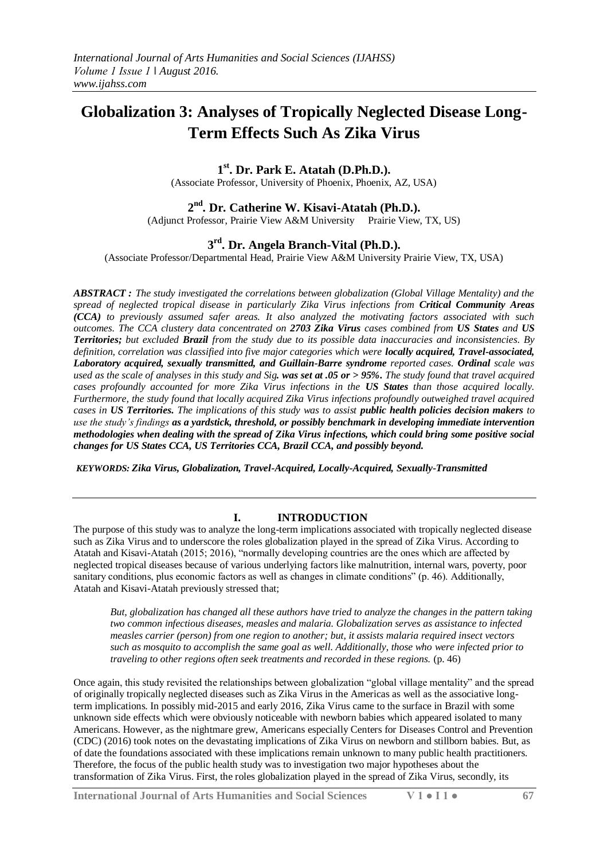# **Globalization 3: Analyses of Tropically Neglected Disease Long-Term Effects Such As Zika Virus**

# **1 st. Dr. Park E. Atatah (D.Ph.D.).**

(Associate Professor, University of Phoenix, Phoenix, AZ, USA)

# **2 nd. Dr. Catherine W. Kisavi-Atatah (Ph.D.).**

(Adjunct Professor, Prairie View A&M University Prairie View, TX, US)

# **3 rd . Dr. Angela Branch-Vital (Ph.D.).**

(Associate Professor/Departmental Head, Prairie View A&M University Prairie View, TX, USA)

*ABSTRACT : The study investigated the correlations between globalization (Global Village Mentality) and the spread of neglected tropical disease in particularly Zika Virus infections from Critical Community Areas (CCA) to previously assumed safer areas. It also analyzed the motivating factors associated with such outcomes. The CCA clustery data concentrated on 2703 Zika Virus cases combined from US States and US Territories; but excluded Brazil from the study due to its possible data inaccuracies and inconsistencies. By definition, correlation was classified into five major categories which were locally acquired, Travel-associated, Laboratory acquired, sexually transmitted, and Guillain-Barre syndrome reported cases. Ordinal scale was used as the scale of analyses in this study and Sig. was set at .05 or > 95%. The study found that travel acquired cases profoundly accounted for more Zika Virus infections in the US States than those acquired locally. Furthermore, the study found that locally acquired Zika Virus infections profoundly outweighed travel acquired cases in US Territories. The implications of this study was to assist public health policies decision makers to use the study's findings as a yardstick, threshold, or possibly benchmark in developing immediate intervention methodologies when dealing with the spread of Zika Virus infections, which could bring some positive social changes for US States CCA, US Territories CCA, Brazil CCA, and possibly beyond.*

*KEYWORDS: Zika Virus, Globalization, Travel-Acquired, Locally-Acquired, Sexually-Transmitted* 

#### **I. INTRODUCTION**

The purpose of this study was to analyze the long-term implications associated with tropically neglected disease such as Zika Virus and to underscore the roles globalization played in the spread of Zika Virus. According to Atatah and Kisavi-Atatah (2015; 2016), "normally developing countries are the ones which are affected by neglected tropical diseases because of various underlying factors like malnutrition, internal wars, poverty, poor sanitary conditions, plus economic factors as well as changes in climate conditions" (p. 46). Additionally, Atatah and Kisavi-Atatah previously stressed that;

*But, globalization has changed all these authors have tried to analyze the changes in the pattern taking two common infectious diseases, measles and malaria. Globalization serves as assistance to infected measles carrier (person) from one region to another; but, it assists malaria required insect vectors such as mosquito to accomplish the same goal as well. Additionally, those who were infected prior to traveling to other regions often seek treatments and recorded in these regions.* (p. 46)

Once again, this study revisited the relationships between globalization "global village mentality" and the spread of originally tropically neglected diseases such as Zika Virus in the Americas as well as the associative longterm implications. In possibly mid-2015 and early 2016, Zika Virus came to the surface in Brazil with some unknown side effects which were obviously noticeable with newborn babies which appeared isolated to many Americans. However, as the nightmare grew, Americans especially Centers for Diseases Control and Prevention (CDC) (2016) took notes on the devastating implications of Zika Virus on newborn and stillborn babies. But, as of date the foundations associated with these implications remain unknown to many public health practitioners. Therefore, the focus of the public health study was to investigation two major hypotheses about the transformation of Zika Virus. First, the roles globalization played in the spread of Zika Virus, secondly, its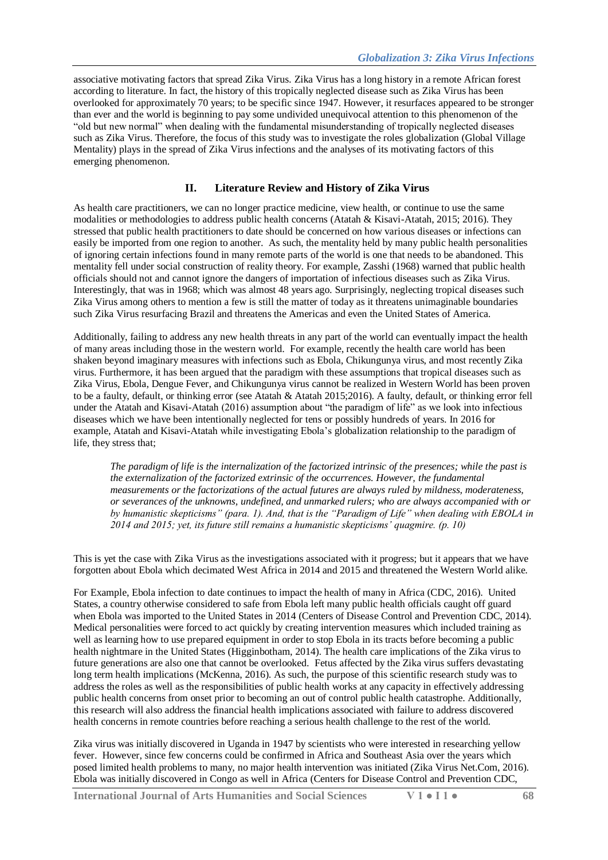associative motivating factors that spread Zika Virus. Zika Virus has a long history in a remote African forest according to literature. In fact, the history of this tropically neglected disease such as Zika Virus has been overlooked for approximately 70 years; to be specific since 1947. However, it resurfaces appeared to be stronger than ever and the world is beginning to pay some undivided unequivocal attention to this phenomenon of the "old but new normal" when dealing with the fundamental misunderstanding of tropically neglected diseases such as Zika Virus. Therefore, the focus of this study was to investigate the roles globalization (Global Village Mentality) plays in the spread of Zika Virus infections and the analyses of its motivating factors of this emerging phenomenon.

#### **II. Literature Review and History of Zika Virus**

As health care practitioners, we can no longer practice medicine, view health, or continue to use the same modalities or methodologies to address public health concerns (Atatah & Kisavi-Atatah, 2015; 2016). They stressed that public health practitioners to date should be concerned on how various diseases or infections can easily be imported from one region to another. As such, the mentality held by many public health personalities of ignoring certain infections found in many remote parts of the world is one that needs to be abandoned. This mentality fell under social construction of reality theory. For example, Zasshi (1968) warned that public health officials should not and cannot ignore the dangers of importation of infectious diseases such as Zika Virus. Interestingly, that was in 1968; which was almost 48 years ago. Surprisingly, neglecting tropical diseases such Zika Virus among others to mention a few is still the matter of today as it threatens unimaginable boundaries such Zika Virus resurfacing Brazil and threatens the Americas and even the United States of America.

Additionally, failing to address any new health threats in any part of the world can eventually impact the health of many areas including those in the western world. For example, recently the health care world has been shaken beyond imaginary measures with infections such as Ebola, Chikungunya virus, and most recently Zika virus. Furthermore, it has been argued that the paradigm with these assumptions that tropical diseases such as Zika Virus, Ebola, Dengue Fever, and Chikungunya virus cannot be realized in Western World has been proven to be a faulty, default, or thinking error (see Atatah & Atatah 2015;2016). A faulty, default, or thinking error fell under the Atatah and Kisavi-Atatah (2016) assumption about "the paradigm of life" as we look into infectious diseases which we have been intentionally neglected for tens or possibly hundreds of years. In 2016 for example, Atatah and Kisavi-Atatah while investigating Ebola's globalization relationship to the paradigm of life, they stress that;

*The paradigm of life is the internalization of the factorized intrinsic of the presences; while the past is the externalization of the factorized extrinsic of the occurrences. However, the fundamental measurements or the factorizations of the actual futures are always ruled by mildness, moderateness, or severances of the unknowns, undefined, and unmarked rulers; who are always accompanied with or by humanistic skepticisms" (para. 1). And, that is the "Paradigm of Life" when dealing with EBOLA in 2014 and 2015; yet, its future still remains a humanistic skepticisms' quagmire. (p. 10)*

This is yet the case with Zika Virus as the investigations associated with it progress; but it appears that we have forgotten about Ebola which decimated West Africa in 2014 and 2015 and threatened the Western World alike.

For Example, Ebola infection to date continues to impact the health of many in Africa (CDC, 2016). United States, a country otherwise considered to safe from Ebola left many public health officials caught off guard when Ebola was imported to the United States in 2014 (Centers of Disease Control and Prevention CDC, 2014). Medical personalities were forced to act quickly by creating intervention measures which included training as well as learning how to use prepared equipment in order to stop Ebola in its tracts before becoming a public health nightmare in the United States (Higginbotham, 2014). The health care implications of the Zika virus to future generations are also one that cannot be overlooked. Fetus affected by the Zika virus suffers devastating long term health implications (McKenna, 2016). As such, the purpose of this scientific research study was to address the roles as well as the responsibilities of public health works at any capacity in effectively addressing public health concerns from onset prior to becoming an out of control public health catastrophe. Additionally, this research will also address the financial health implications associated with failure to address discovered health concerns in remote countries before reaching a serious health challenge to the rest of the world.

Zika virus was initially discovered in Uganda in 1947 by scientists who were interested in researching yellow fever. However, since few concerns could be confirmed in Africa and Southeast Asia over the years which posed limited health problems to many, no major health intervention was initiated (Zika Virus Net.Com, 2016). Ebola was initially discovered in Congo as well in Africa (Centers for Disease Control and Prevention CDC,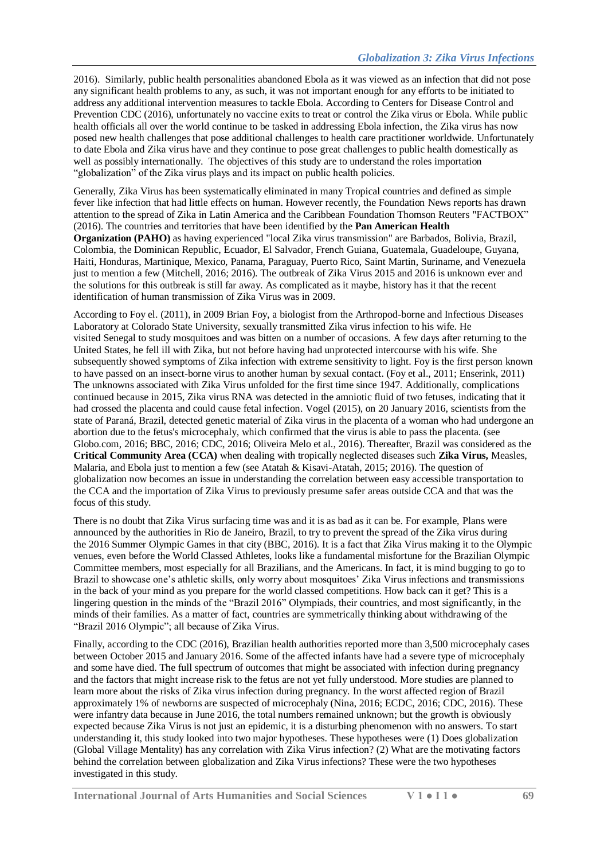2016). Similarly, public health personalities abandoned Ebola as it was viewed as an infection that did not pose any significant health problems to any, as such, it was not important enough for any efforts to be initiated to address any additional intervention measures to tackle Ebola. According to Centers for Disease Control and Prevention CDC (2016), unfortunately no vaccine exits to treat or control the Zika virus or Ebola. While public health officials all over the world continue to be tasked in addressing Ebola infection, the Zika virus has now posed new health challenges that pose additional challenges to health care practitioner worldwide. Unfortunately to date Ebola and Zika virus have and they continue to pose great challenges to public health domestically as well as possibly internationally. The objectives of this study are to understand the roles importation "globalization" of the Zika virus plays and its impact on public health policies.

Generally, Zika Virus has been systematically eliminated in many Tropical countries and defined as simple fever like infection that had little effects on human. However recently, the Foundation News reports has drawn attention to the spread of Zika in Latin America and the Caribbean Foundation Thomson Reuters "FACTBOX" (2016). The countries and territories that have been identified by the **[Pan American Health](https://en.wikipedia.org/wiki/Pan_American_Health_Organisation)  [Organization](https://en.wikipedia.org/wiki/Pan_American_Health_Organisation) (PAHO)** as having experienced "local Zika virus transmission" are Barbados, Bolivia, Brazil, Colombia, the Dominican Republic, Ecuador, El Salvador, French Guiana, Guatemala, Guadeloupe, Guyana, Haiti, Honduras, Martinique, Mexico, Panama, Paraguay, Puerto Rico, Saint Martin, Suriname, and Venezuela just to mention a few (Mitchell, 2016; 2016). The outbreak of Zika Virus 2015 and 2016 is unknown ever and the solutions for this outbreak is still far away. As complicated as it maybe, history has it that the recent identification of human transmission of Zika Virus was in 2009.

According to Foy el. (2011), in 2009 Brian Foy, a biologist from the Arthropod-borne and Infectious Diseases Laboratory at [Colorado State University,](https://en.wikipedia.org/wiki/Colorado_State_University) [sexually transmitted](https://en.wikipedia.org/wiki/Sexually_transmitted_infection) Zika virus infection to his wife. He visited [Senegal](https://en.wikipedia.org/wiki/Senegal) to study mosquitoes and was bitten on a number of occasions. A few days after returning to the United States, he fell ill with Zika, but not before having had unprotected intercourse with his wife. She subsequently showed symptoms of Zika infection with extreme sensitivity to light. Foy is the first person known to have passed on an insect-borne virus to another human by sexual contact. (Foy et al., 2011; Enserink, 2011) The unknowns associated with Zika Virus unfolded for the first time since 1947. Additionally, complications continued because in 2015, Zika virus RNA was detected in the amniotic fluid of two fetuses, indicating that it had crossed the placenta and could cause fetal infection. Vogel (2015), on 20 January 2016, scientists from the state of Paraná, Brazil, detected genetic material of Zika virus in the placenta of a woman who had undergone an abortion due to the fetus's [microcephaly,](https://en.wikipedia.org/wiki/Microcephaly) which confirmed that the virus is able to pass the placenta. (see Globo.com, 2016; BBC, 2016; CDC, 2016; Oliveira Melo et al., 2016). Thereafter, Brazil was considered as the **Critical Community Area (CCA)** when dealing with tropically neglected diseases such **Zika Virus,** Measles, Malaria, and Ebola just to mention a few (see Atatah & Kisavi-Atatah, 2015; 2016). The question of globalization now becomes an issue in understanding the correlation between easy accessible transportation to the CCA and the importation of Zika Virus to previously presume safer areas outside CCA and that was the focus of this study.

There is no doubt that Zika Virus surfacing time was and it is as bad as it can be. For example, Plans were announced by the authorities in [Rio de Janeiro,](https://en.wikipedia.org/wiki/Rio_de_Janeiro) Brazil, to try to prevent the spread of the Zika virus during the [2016 Summer Olympic Games](https://en.wikipedia.org/wiki/2016_Summer_Olympic_Games) in that city (BBC, 2016). It is a fact that Zika Virus making it to the Olympic venues, even before the World Classed Athletes, looks like a fundamental misfortune for the Brazilian Olympic Committee members, most especially for all Brazilians, and the Americans. In fact, it is mind bugging to go to Brazil to showcase one's athletic skills, only worry about mosquitoes' Zika Virus infections and transmissions in the back of your mind as you prepare for the world classed competitions. How back can it get? This is a lingering question in the minds of the "Brazil 2016" Olympiads, their countries, and most significantly, in the minds of their families. As a matter of fact, countries are symmetrically thinking about withdrawing of the "Brazil 2016 Olympic"; all because of Zika Virus.

Finally, according to the CDC (2016), Brazilian health authorities reported more than 3,500 microcephaly cases between October 2015 and January 2016. Some of the affected infants have had a severe type of microcephaly and some have died. The full spectrum of outcomes that might be associated with infection during pregnancy and the factors that might increase risk to the fetus are not yet fully understood. More studies are planned to learn more about the risks of Zika virus infection during pregnancy. In the worst affected region of Brazil approximately 1% of newborns are suspected of microcephaly (Nina, 2016; ECDC, 2016; CDC, 2016). These were infantry data because in June 2016, the total numbers remained unknown; but the growth is obviously expected because Zika Virus is not just an epidemic, it is a disturbing phenomenon with no answers. To start understanding it, this study looked into two major hypotheses. These hypotheses were (1) Does globalization (Global Village Mentality) has any correlation with Zika Virus infection? (2) What are the motivating factors behind the correlation between globalization and Zika Virus infections? These were the two hypotheses investigated in this study.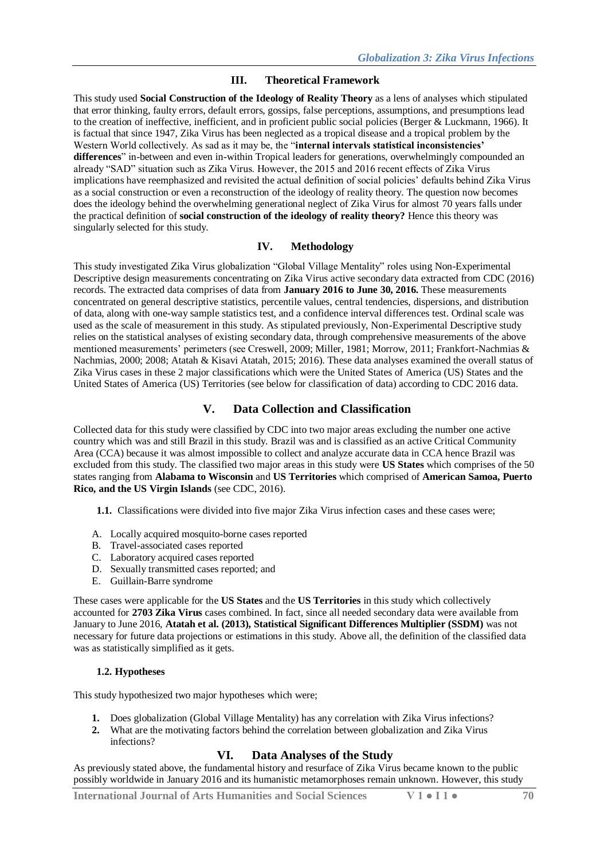#### **III. Theoretical Framework**

This study used **Social Construction of the Ideology of Reality Theory** as a lens of analyses which stipulated that error thinking, faulty errors, default errors, gossips, false perceptions, assumptions, and presumptions lead to the creation of ineffective, inefficient, and in proficient public social policies (Berger & Luckmann, 1966). It is factual that since 1947, Zika Virus has been neglected as a tropical disease and a tropical problem by the Western World collectively. As sad as it may be, the "**internal intervals statistical inconsistencies' differences**" in-between and even in-within Tropical leaders for generations, overwhelmingly compounded an already "SAD" situation such as Zika Virus. However, the 2015 and 2016 recent effects of Zika Virus implications have reemphasized and revisited the actual definition of social policies' defaults behind Zika Virus as a social construction or even a reconstruction of the ideology of reality theory. The question now becomes does the ideology behind the overwhelming generational neglect of Zika Virus for almost 70 years falls under the practical definition of **social construction of the ideology of reality theory?** Hence this theory was singularly selected for this study.

#### **IV. Methodology**

This study investigated Zika Virus globalization "Global Village Mentality" roles using Non-Experimental Descriptive design measurements concentrating on Zika Virus active secondary data extracted from CDC (2016) records. The extracted data comprises of data from **January 2016 to June 30, 2016.** These measurements concentrated on general descriptive statistics, percentile values, central tendencies, dispersions, and distribution of data, along with one-way sample statistics test, and a confidence interval differences test. Ordinal scale was used as the scale of measurement in this study. As stipulated previously, Non-Experimental Descriptive study relies on the statistical analyses of existing secondary data, through comprehensive measurements of the above mentioned measurements' perimeters (see Creswell, 2009; Miller, 1981; Morrow, 2011; Frankfort-Nachmias & Nachmias, 2000; 2008; Atatah & Kisavi Atatah, 2015; 2016). These data analyses examined the overall status of Zika Virus cases in these 2 major classifications which were the United States of America (US) States and the United States of America (US) Territories (see below for classification of data) according to CDC 2016 data.

# **V. Data Collection and Classification**

Collected data for this study were classified by CDC into two major areas excluding the number one active country which was and still Brazil in this study. Brazil was and is classified as an active Critical Community Area (CCA) because it was almost impossible to collect and analyze accurate data in CCA hence Brazil was excluded from this study. The classified two major areas in this study were **US States** which comprises of the 50 states ranging from **Alabama to Wisconsin** and **US Territories** which comprised of **American Samoa, Puerto Rico, and the US Virgin Islands** (see CDC, 2016).

**1.1.** Classifications were divided into five major Zika Virus infection cases and these cases were;

- A. Locally acquired mosquito-borne cases reported
- B. Travel-associated cases reported
- C. Laboratory acquired cases reported
- D. Sexually transmitted cases reported; and
- E. Guillain-Barre syndrome

These cases were applicable for the **US States** and the **US Territories** in this study which collectively accounted for **2703 Zika Virus** cases combined. In fact, since all needed secondary data were available from January to June 2016, **Atatah et al. (2013), Statistical Significant Differences Multiplier (SSDM)** was not necessary for future data projections or estimations in this study. Above all, the definition of the classified data was as statistically simplified as it gets.

#### **1.2. Hypotheses**

This study hypothesized two major hypotheses which were;

- **1.** Does globalization (Global Village Mentality) has any correlation with Zika Virus infections?
- **2.** What are the motivating factors behind the correlation between globalization and Zika Virus infections?

# **VI. Data Analyses of the Study**

As previously stated above, the fundamental history and resurface of Zika Virus became known to the public possibly worldwide in January 2016 and its humanistic metamorphoses remain unknown. However, this study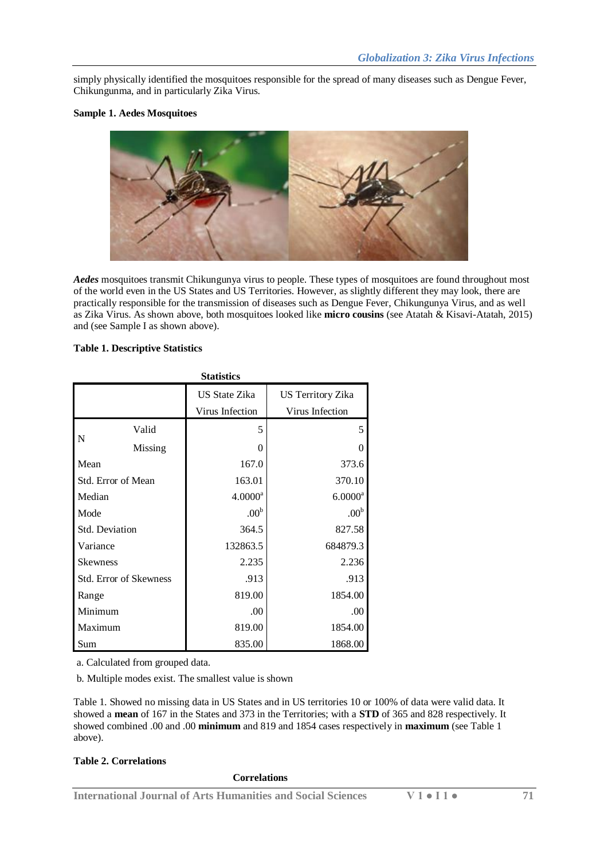simply physically identified the mosquitoes responsible for the spread of many diseases such as Dengue Fever, Chikungunma, and in particularly Zika Virus.

#### **Sample 1. Aedes Mosquitoes**



*Aedes* mosquitoes transmit Chikungunya virus to people. These types of mosquitoes are found throughout most of the world even in the US States and US Territories. However, as slightly different they may look, there are practically responsible for the transmission of diseases such as Dengue Fever, Chikungunya Virus, and as well as Zika Virus. As shown above, both mosquitoes looked like **micro cousins** (see Atatah & Kisavi-Atatah, 2015) and (see Sample I as shown above).

# **Table 1. Descriptive Statistics**

| <b>Statistics</b>             |         |                      |                          |  |  |  |
|-------------------------------|---------|----------------------|--------------------------|--|--|--|
|                               |         | <b>US State Zika</b> | <b>US Territory Zika</b> |  |  |  |
|                               |         | Virus Infection      | Virus Infection          |  |  |  |
| N                             | Valid   | 5                    | 5                        |  |  |  |
|                               | Missing | $\theta$             | 0                        |  |  |  |
| Mean                          |         | 167.0                | 373.6                    |  |  |  |
| Std. Error of Mean            |         | 163.01               | 370.10                   |  |  |  |
| Median                        |         | $4.0000^a$           | $6.0000$ $\mathrm{^a}$   |  |  |  |
| Mode                          |         | .00 <sup>b</sup>     | .00 <sup>b</sup>         |  |  |  |
| Std. Deviation                |         | 364.5                | 827.58                   |  |  |  |
| Variance                      |         | 132863.5             | 684879.3                 |  |  |  |
| <b>Skewness</b>               |         | 2.235                | 2.236                    |  |  |  |
| <b>Std. Error of Skewness</b> |         | .913                 | .913                     |  |  |  |
| Range                         |         | 819.00               | 1854.00                  |  |  |  |
| Minimum                       |         | .00                  | .00                      |  |  |  |
| Maximum                       |         | 819.00               | 1854.00                  |  |  |  |
| Sum                           |         | 835.00               | 1868.00                  |  |  |  |

a. Calculated from grouped data.

b. Multiple modes exist. The smallest value is shown

Table 1. Showed no missing data in US States and in US territories 10 or 100% of data were valid data. It showed a **mean** of 167 in the States and 373 in the Territories; with a **STD** of 365 and 828 respectively. It showed combined .00 and .00 **minimum** and 819 and 1854 cases respectively in **maximum** (see Table 1 above).

#### **Table 2. Correlations**

#### **Correlations**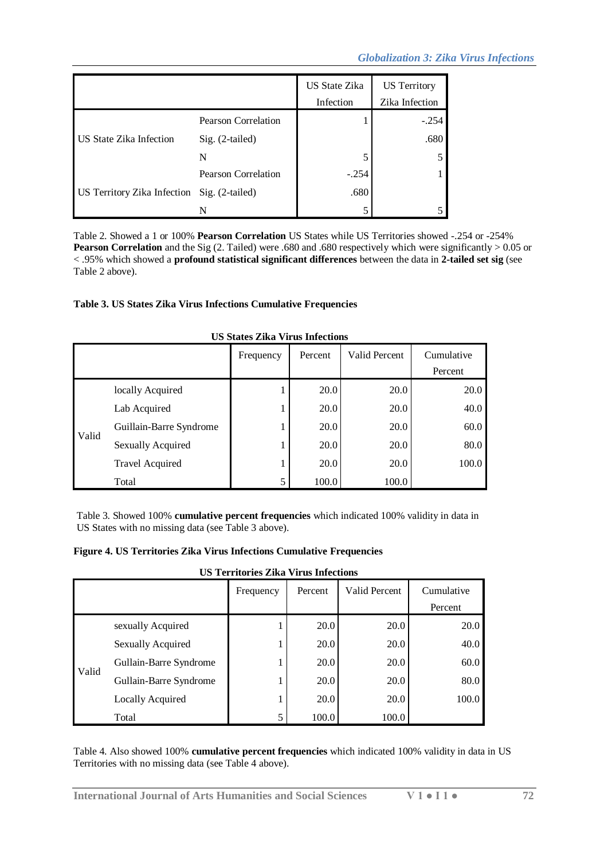# *Globalization 3: Zika Virus Infections*

|                                             |                            | <b>US State Zika</b><br>Infection | <b>US</b> Territory<br>Zika Infection |
|---------------------------------------------|----------------------------|-----------------------------------|---------------------------------------|
|                                             | Pearson Correlation        |                                   | $-.254$                               |
| <b>US State Zika Infection</b>              | $Sig. (2-tailed)$          |                                   | .680                                  |
|                                             | N                          |                                   | 5                                     |
|                                             | <b>Pearson Correlation</b> | $-.254$                           |                                       |
| US Territory Zika Infection Sig. (2-tailed) |                            | .680                              |                                       |
|                                             | N                          |                                   |                                       |

Table 2. Showed a 1 or 100% **Pearson Correlation** US States while US Territories showed -.254 or -254% **Pearson Correlation** and the Sig (2. Tailed) were .680 and .680 respectively which were significantly > 0.05 or < .95% which showed a **profound statistical significant differences** between the data in **2-tailed set sig** (see Table 2 above).

# **Table 3. US States Zika Virus Infections Cumulative Frequencies**

|       |                          | Frequency | Percent | Valid Percent | Cumulative |  |  |  |
|-------|--------------------------|-----------|---------|---------------|------------|--|--|--|
|       |                          |           |         |               | Percent    |  |  |  |
| Valid | locally Acquired         | ı         | 20.0    | 20.0          | 20.0       |  |  |  |
|       | Lab Acquired             |           | 20.0    | 20.0          | 40.0       |  |  |  |
|       | Guillain-Barre Syndrome  |           | 20.0    | 20.0          | 60.0       |  |  |  |
|       | <b>Sexually Acquired</b> | ı         | 20.0    | 20.0          | 80.0       |  |  |  |
|       | <b>Travel Acquired</b>   |           | 20.0    | 20.0          | 100.0      |  |  |  |
|       | Total                    | 5         | 100.0   | 100.0         |            |  |  |  |

#### **US States Zika Virus Infections**

Table 3. Showed 100% **cumulative percent frequencies** which indicated 100% validity in data in US States with no missing data (see Table 3 above).

#### **Figure 4. US Territories Zika Virus Infections Cumulative Frequencies**

**US Territories Zika Virus Infections**

|       |                          | Frequency | Percent | Valid Percent | Cumulative |
|-------|--------------------------|-----------|---------|---------------|------------|
|       |                          |           |         |               | Percent    |
| Valid | sexually Acquired        |           | 20.0    | 20.0          | 20.0       |
|       | <b>Sexually Acquired</b> |           | 20.0    | 20.0          | 40.0       |
|       | Gullain-Barre Syndrome   |           | 20.0    | 20.0          | 60.0       |
|       | Gullain-Barre Syndrome   |           | 20.0    | 20.0          | 80.0       |
|       | Locally Acquired         |           | 20.0    | 20.0          | 100.0      |
|       | Total                    | 5         | 100.0   | 100.0         |            |

Table 4. Also showed 100% **cumulative percent frequencies** which indicated 100% validity in data in US Territories with no missing data (see Table 4 above).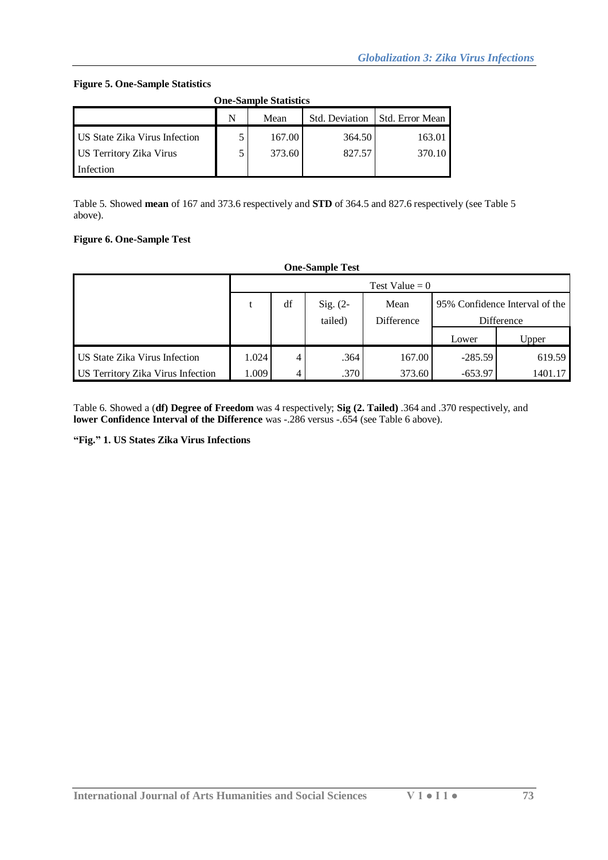#### **Figure 5. One-Sample Statistics**

| <b>One-Sample Statistics</b>                   |  |        |        |        |  |  |  |
|------------------------------------------------|--|--------|--------|--------|--|--|--|
| Std. Deviation<br>N<br>Std. Error Mean<br>Mean |  |        |        |        |  |  |  |
| <b>US State Zika Virus Infection</b>           |  | 167.00 | 364.50 | 163.01 |  |  |  |
| <b>US Territory Zika Virus</b>                 |  | 373.60 | 827.57 | 370.10 |  |  |  |
| Infection                                      |  |        |        |        |  |  |  |

Table 5. Showed **mean** of 167 and 373.6 respectively and **STD** of 364.5 and 827.6 respectively (see Table 5 above).

# **Figure 6. One-Sample Test**

| <b>One-Sample Test</b>                   |                                                            |    |         |            |            |         |  |  |
|------------------------------------------|------------------------------------------------------------|----|---------|------------|------------|---------|--|--|
|                                          | Test Value $= 0$                                           |    |         |            |            |         |  |  |
|                                          | df<br>95% Confidence Interval of the<br>Sig. $(2-$<br>Mean |    |         |            |            |         |  |  |
|                                          |                                                            |    | tailed) | Difference | Difference |         |  |  |
|                                          |                                                            |    |         |            | Lower      | Upper   |  |  |
| US State Zika Virus Infection            | 1.024                                                      | 4  | .364    | 167.00     | $-285.59$  | 619.59  |  |  |
| <b>US Territory Zika Virus Infection</b> | 1.009                                                      | 4. | .370    | 373.60     | $-653.97$  | 1401.17 |  |  |

Table 6. Showed a (**df) Degree of Freedom** was 4 respectively; **Sig (2. Tailed)** .364 and .370 respectively, and **lower Confidence Interval of the Difference** was -.286 versus -.654 (see Table 6 above).

**"Fig." 1. US States Zika Virus Infections**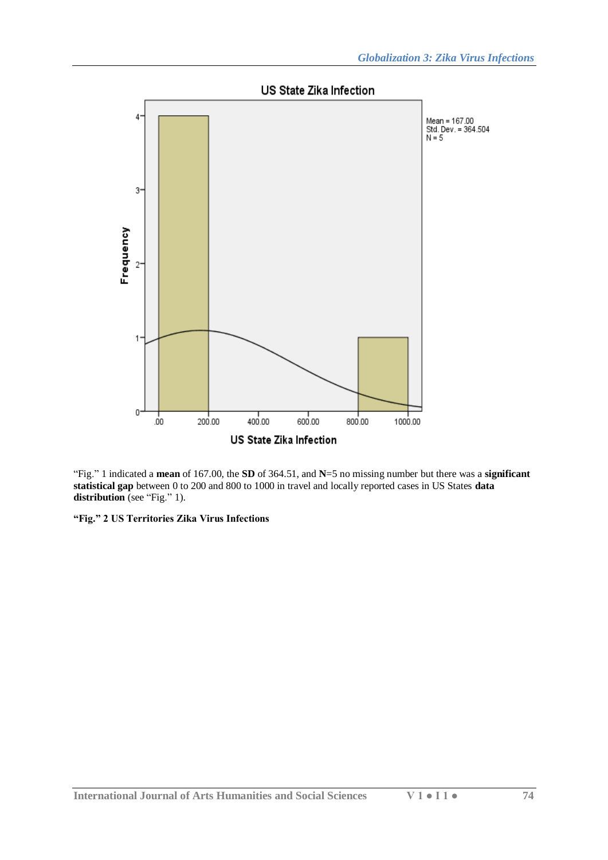

"Fig." 1 indicated a **mean** of 167.00, the **SD** of 364.51, and **N**=5 no missing number but there was a **significant statistical gap** between 0 to 200 and 800 to 1000 in travel and locally reported cases in US States **data distribution** (see "Fig." 1).

**"Fig." 2 US Territories Zika Virus Infections**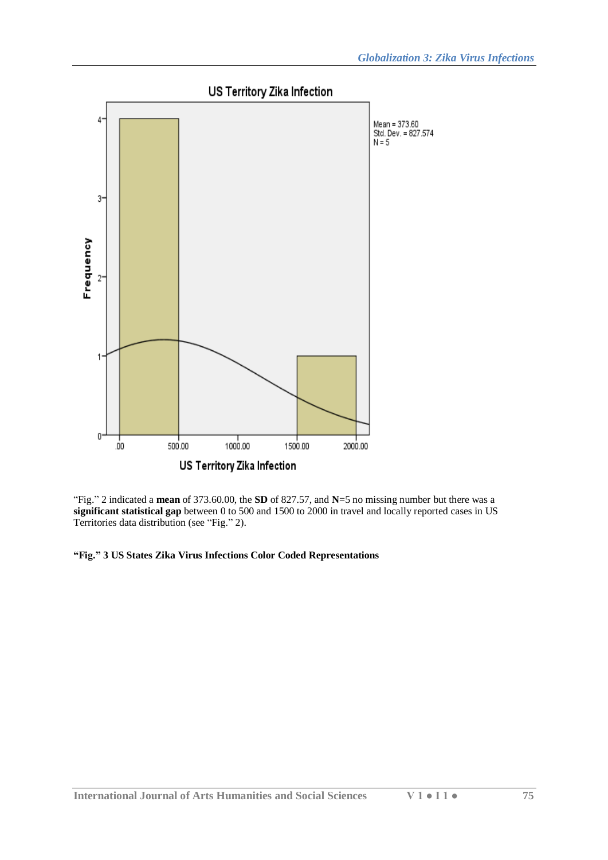

"Fig." 2 indicated a **mean** of 373.60.00, the **SD** of 827.57, and **N**=5 no missing number but there was a **significant statistical gap** between 0 to 500 and 1500 to 2000 in travel and locally reported cases in US Territories data distribution (see "Fig." 2).

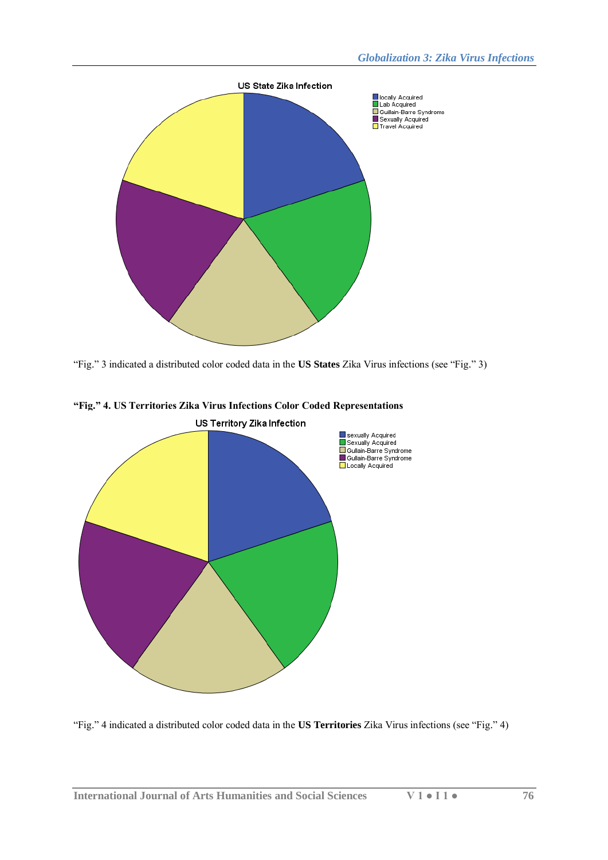

"Fig." 3 indicated a distributed color coded data in the **US States** Zika Virus infections (see "Fig." 3)



# **"Fig." 4. US Territories Zika Virus Infections Color Coded Representations**

"Fig." 4 indicated a distributed color coded data in the **US Territories** Zika Virus infections (see "Fig." 4)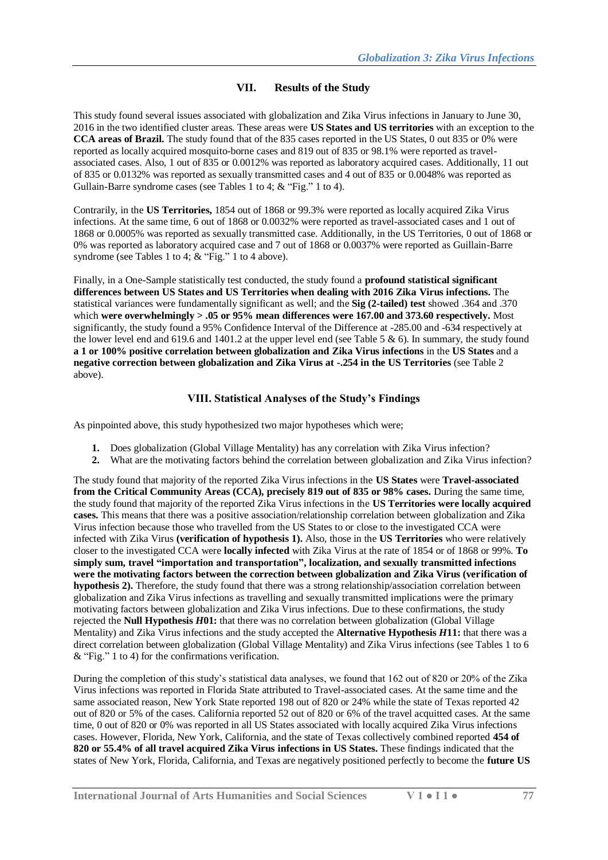# **VII. Results of the Study**

This study found several issues associated with globalization and Zika Virus infections in January to June 30, 2016 in the two identified cluster areas. These areas were **US States and US territories** with an exception to the **CCA areas of Brazil.** The study found that of the 835 cases reported in the US States, 0 out 835 or 0% were reported as locally acquired mosquito-borne cases and 819 out of 835 or 98.1% were reported as travelassociated cases. Also, 1 out of 835 or 0.0012% was reported as laboratory acquired cases. Additionally, 11 out of 835 or 0.0132% was reported as sexually transmitted cases and 4 out of 835 or 0.0048% was reported as Gullain-Barre syndrome cases (see Tables 1 to 4; & "Fig." 1 to 4).

Contrarily, in the **US Territories,** 1854 out of 1868 or 99.3% were reported as locally acquired Zika Virus infections. At the same time, 6 out of 1868 or 0.0032% were reported as travel-associated cases and 1 out of 1868 or 0.0005% was reported as sexually transmitted case. Additionally, in the US Territories, 0 out of 1868 or 0% was reported as laboratory acquired case and 7 out of 1868 or 0.0037% were reported as Guillain-Barre syndrome (see Tables 1 to 4;  $&$  "Fig." 1 to 4 above).

Finally, in a One-Sample statistically test conducted, the study found a **profound statistical significant differences between US States and US Territories when dealing with 2016 Zika Virus infections.** The statistical variances were fundamentally significant as well; and the **Sig (2-tailed) test** showed .364 and .370 which **were overwhelmingly > .05 or 95% mean differences were 167.00 and 373.60 respectively.** Most significantly, the study found a 95% Confidence Interval of the Difference at -285.00 and -634 respectively at the lower level end and 619.6 and 1401.2 at the upper level end (see Table 5 & 6). In summary, the study found **a 1 or 100% positive correlation between globalization and Zika Virus infections** in the **US States** and a **negative correction between globalization and Zika Virus at -.254 in the US Territories** (see Table 2 above).

#### **VIII. Statistical Analyses of the Study's Findings**

As pinpointed above, this study hypothesized two major hypotheses which were;

- **1.** Does globalization (Global Village Mentality) has any correlation with Zika Virus infection?
- **2.** What are the motivating factors behind the correlation between globalization and Zika Virus infection?

The study found that majority of the reported Zika Virus infections in the **US States** were **Travel-associated from the Critical Community Areas (CCA), precisely 819 out of 835 or 98% cases.** During the same time, the study found that majority of the reported Zika Virus infections in the **US Territories were locally acquired cases.** This means that there was a positive association/relationship correlation between globalization and Zika Virus infection because those who travelled from the US States to or close to the investigated CCA were infected with Zika Virus **(verification of hypothesis 1).** Also, those in the **US Territories** who were relatively closer to the investigated CCA were **locally infected** with Zika Virus at the rate of 1854 or of 1868 or 99%. **To simply sum, travel "importation and transportation", localization, and sexually transmitted infections were the motivating factors between the correction between globalization and Zika Virus (verification of hypothesis 2).** Therefore, the study found that there was a strong relationship/association correlation between globalization and Zika Virus infections as travelling and sexually transmitted implications were the primary motivating factors between globalization and Zika Virus infections. Due to these confirmations, the study rejected the **Null Hypothesis** *H***01:** that there was no correlation between globalization (Global Village Mentality) and Zika Virus infections and the study accepted the **Alternative Hypothesis** *H***11:** that there was a direct correlation between globalization (Global Village Mentality) and Zika Virus infections (see Tables 1 to 6 & "Fig." 1 to 4) for the confirmations verification.

During the completion of this study's statistical data analyses, we found that 162 out of 820 or 20% of the Zika Virus infections was reported in Florida State attributed to Travel-associated cases. At the same time and the same associated reason, New York State reported 198 out of 820 or 24% while the state of Texas reported 42 out of 820 or 5% of the cases. California reported 52 out of 820 or 6% of the travel acquitted cases. At the same time, 0 out of 820 or 0% was reported in all US States associated with locally acquired Zika Virus infections cases. However, Florida, New York, California, and the state of Texas collectively combined reported **454 of 820 or 55.4% of all travel acquired Zika Virus infections in US States.** These findings indicated that the states of New York, Florida, California, and Texas are negatively positioned perfectly to become the **future US**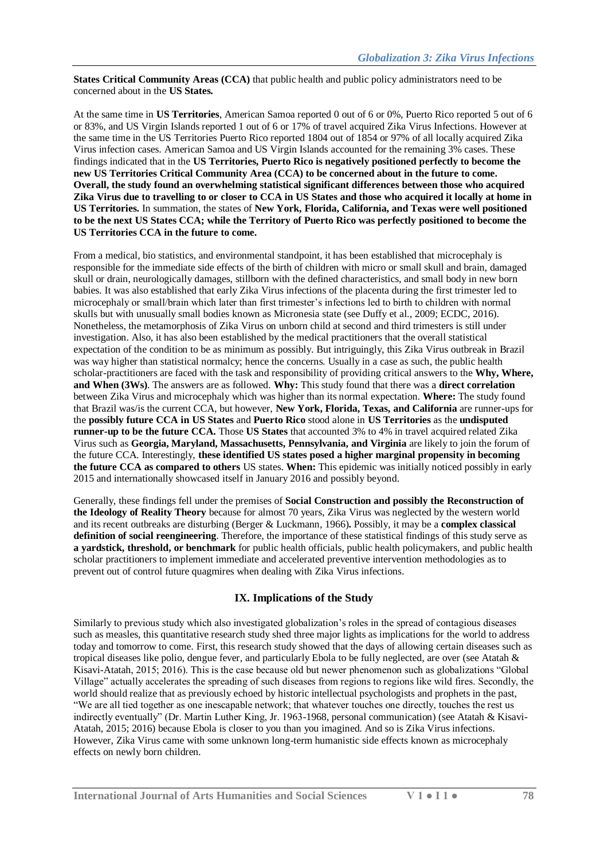**States Critical Community Areas (CCA)** that public health and public policy administrators need to be concerned about in the **US States.**

At the same time in **US Territories**, American Samoa reported 0 out of 6 or 0%, Puerto Rico reported 5 out of 6 or 83%, and US Virgin Islands reported 1 out of 6 or 17% of travel acquired Zika Virus Infections. However at the same time in the US Territories Puerto Rico reported 1804 out of 1854 or 97% of all locally acquired Zika Virus infection cases. American Samoa and US Virgin Islands accounted for the remaining 3% cases. These findings indicated that in the **US Territories, Puerto Rico is negatively positioned perfectly to become the new US Territories Critical Community Area (CCA) to be concerned about in the future to come. Overall, the study found an overwhelming statistical significant differences between those who acquired Zika Virus due to travelling to or closer to CCA in US States and those who acquired it locally at home in US Territories.** In summation, the states of **New York, Florida, California, and Texas were well positioned to be the next US States CCA; while the Territory of Puerto Rico was perfectly positioned to become the US Territories CCA in the future to come.**

From a medical, bio statistics, and environmental standpoint, it has been established that microcephaly is responsible for the immediate side effects of the birth of children with micro or small skull and brain, damaged skull or drain, neurologically damages, stillborn with the defined characteristics, and small body in new born babies. It was also established that early Zika Virus infections of the placenta during the first trimester led to microcephaly or small/brain which later than first trimester's infections led to birth to children with normal skulls but with unusually small bodies known as Micronesia state (see Duffy et al., 2009; ECDC, 2016). Nonetheless, the metamorphosis of Zika Virus on unborn child at second and third trimesters is still under investigation. Also, it has also been established by the medical practitioners that the overall statistical expectation of the condition to be as minimum as possibly. But intriguingly, this Zika Virus outbreak in Brazil was way higher than statistical normalcy; hence the concerns. Usually in a case as such, the public health scholar-practitioners are faced with the task and responsibility of providing critical answers to the **Why, Where, and When (3Ws)**. The answers are as followed. **Why:** This study found that there was a **direct correlation** between Zika Virus and microcephaly which was higher than its normal expectation. **Where:** The study found that Brazil was/is the current CCA, but however, **New York, Florida, Texas, and California** are runner-ups for the **possibly future CCA in US States** and **Puerto Rico** stood alone in **US Territories** as the **undisputed runner-up to be the future CCA.** Those **US States** that accounted 3% to 4% in travel acquired related Zika Virus such as **Georgia, Maryland, Massachusetts, Pennsylvania, and Virginia** are likely to join the forum of the future CCA. Interestingly, **these identified US states posed a higher marginal propensity in becoming the future CCA as compared to others** US states. **When:** This epidemic was initially noticed possibly in early 2015 and internationally showcased itself in January 2016 and possibly beyond.

Generally, these findings fell under the premises of **Social Construction and possibly the Reconstruction of the Ideology of Reality Theory** because for almost 70 years, Zika Virus was neglected by the western world and its recent outbreaks are disturbing (Berger & Luckmann, 1966)**.** Possibly, it may be a **complex classical definition of social reengineering**. Therefore, the importance of these statistical findings of this study serve as **a yardstick, threshold, or benchmark** for public health officials, public health policymakers, and public health scholar practitioners to implement immediate and accelerated preventive intervention methodologies as to prevent out of control future quagmires when dealing with Zika Virus infections.

# **IX. Implications of the Study**

Similarly to previous study which also investigated globalization's roles in the spread of contagious diseases such as measles, this quantitative research study shed three major lights as implications for the world to address today and tomorrow to come. First, this research study showed that the days of allowing certain diseases such as tropical diseases like polio, dengue fever, and particularly Ebola to be fully neglected, are over (see Atatah & Kisavi-Atatah, 2015; 2016). This is the case because old but newer phenomenon such as globalizations "Global Village" actually accelerates the spreading of such diseases from regions to regions like wild fires. Secondly, the world should realize that as previously echoed by historic intellectual psychologists and prophets in the past, "We are all tied together as one inescapable network; that whatever touches one directly, touches the rest us indirectly eventually" (Dr. Martin Luther King, Jr. 1963-1968, personal communication) (see Atatah & Kisavi-Atatah, 2015; 2016) because Ebola is closer to you than you imagined. And so is Zika Virus infections. However, Zika Virus came with some unknown long-term humanistic side effects known as microcephaly effects on newly born children.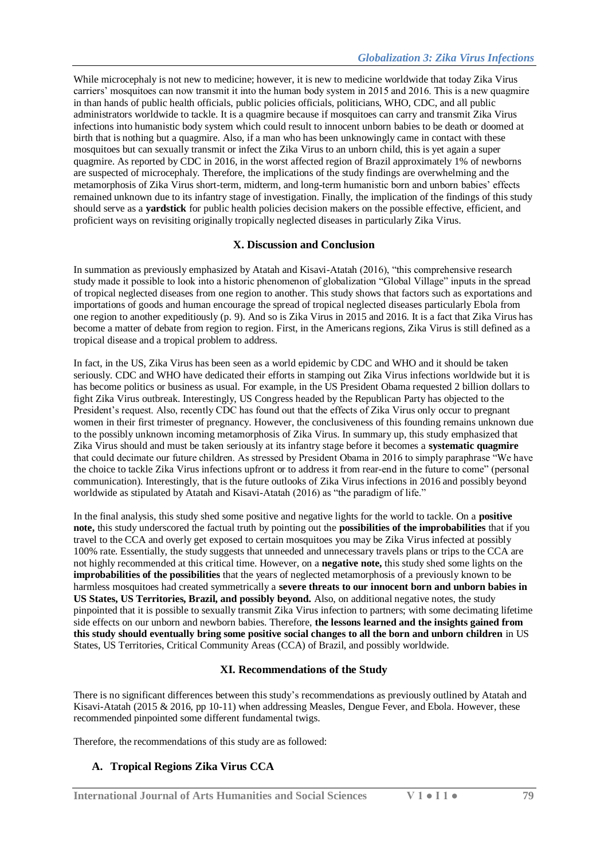While microcephaly is not new to medicine; however, it is new to medicine worldwide that today Zika Virus carriers' mosquitoes can now transmit it into the human body system in 2015 and 2016. This is a new quagmire in than hands of public health officials, public policies officials, politicians, WHO, CDC, and all public administrators worldwide to tackle. It is a quagmire because if mosquitoes can carry and transmit Zika Virus infections into humanistic body system which could result to innocent unborn babies to be death or doomed at birth that is nothing but a quagmire. Also, if a man who has been unknowingly came in contact with these mosquitoes but can sexually transmit or infect the Zika Virus to an unborn child, this is yet again a super quagmire. As reported by CDC in 2016, in the worst affected region of Brazil approximately 1% of newborns are suspected of microcephaly. Therefore, the implications of the study findings are overwhelming and the metamorphosis of Zika Virus short-term, midterm, and long-term humanistic born and unborn babies' effects remained unknown due to its infantry stage of investigation. Finally, the implication of the findings of this study should serve as a **yardstick** for public health policies decision makers on the possible effective, efficient, and proficient ways on revisiting originally tropically neglected diseases in particularly Zika Virus.

# **X. Discussion and Conclusion**

In summation as previously emphasized by Atatah and Kisavi-Atatah (2016), "this comprehensive research study made it possible to look into a historic phenomenon of globalization "Global Village" inputs in the spread of tropical neglected diseases from one region to another. This study shows that factors such as exportations and importations of goods and human encourage the spread of tropical neglected diseases particularly Ebola from one region to another expeditiously (p. 9). And so is Zika Virus in 2015 and 2016. It is a fact that Zika Virus has become a matter of debate from region to region. First, in the Americans regions, Zika Virus is still defined as a tropical disease and a tropical problem to address.

In fact, in the US, Zika Virus has been seen as a world epidemic by CDC and WHO and it should be taken seriously. CDC and WHO have dedicated their efforts in stamping out Zika Virus infections worldwide but it is has become politics or business as usual. For example, in the US President Obama requested 2 billion dollars to fight Zika Virus outbreak. Interestingly, US Congress headed by the Republican Party has objected to the President's request. Also, recently CDC has found out that the effects of Zika Virus only occur to pregnant women in their first trimester of pregnancy. However, the conclusiveness of this founding remains unknown due to the possibly unknown incoming metamorphosis of Zika Virus. In summary up, this study emphasized that Zika Virus should and must be taken seriously at its infantry stage before it becomes a **systematic quagmire** that could decimate our future children. As stressed by President Obama in 2016 to simply paraphrase "We have the choice to tackle Zika Virus infections upfront or to address it from rear-end in the future to come" (personal communication). Interestingly, that is the future outlooks of Zika Virus infections in 2016 and possibly beyond worldwide as stipulated by Atatah and Kisavi-Atatah (2016) as "the paradigm of life."

In the final analysis, this study shed some positive and negative lights for the world to tackle. On a **positive note,** this study underscored the factual truth by pointing out the **possibilities of the improbabilities** that if you travel to the CCA and overly get exposed to certain mosquitoes you may be Zika Virus infected at possibly 100% rate. Essentially, the study suggests that unneeded and unnecessary travels plans or trips to the CCA are not highly recommended at this critical time. However, on a **negative note,** this study shed some lights on the **improbabilities of the possibilities** that the years of neglected metamorphosis of a previously known to be harmless mosquitoes had created symmetrically a **severe threats to our innocent born and unborn babies in US States, US Territories, Brazil, and possibly beyond.** Also, on additional negative notes, the study pinpointed that it is possible to sexually transmit Zika Virus infection to partners; with some decimating lifetime side effects on our unborn and newborn babies. Therefore, **the lessons learned and the insights gained from this study should eventually bring some positive social changes to all the born and unborn children** in US States, US Territories, Critical Community Areas (CCA) of Brazil, and possibly worldwide.

# **XI. Recommendations of the Study**

There is no significant differences between this study's recommendations as previously outlined by Atatah and Kisavi-Atatah (2015 & 2016, pp 10-11) when addressing Measles, Dengue Fever, and Ebola. However, these recommended pinpointed some different fundamental twigs.

Therefore, the recommendations of this study are as followed:

# **A. Tropical Regions Zika Virus CCA**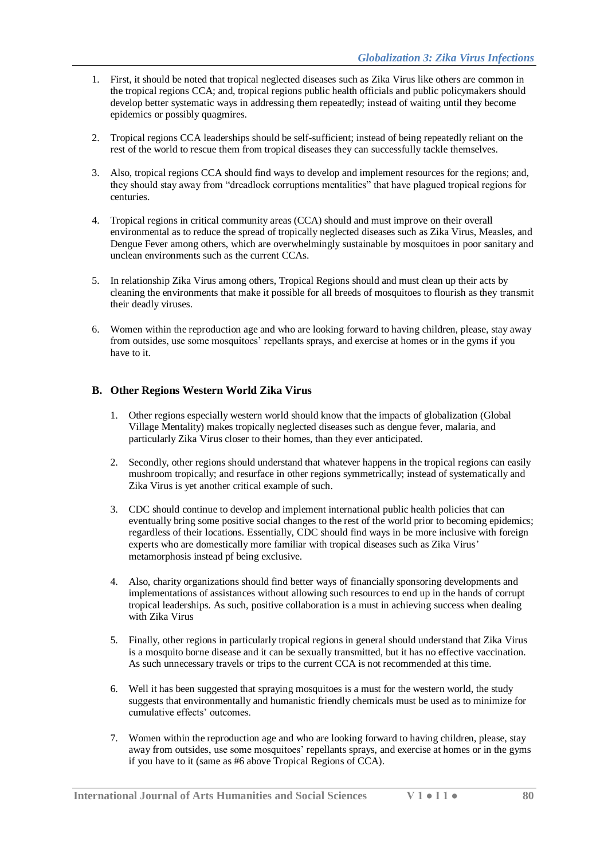- 1. First, it should be noted that tropical neglected diseases such as Zika Virus like others are common in the tropical regions CCA; and, tropical regions public health officials and public policymakers should develop better systematic ways in addressing them repeatedly; instead of waiting until they become epidemics or possibly quagmires.
- 2. Tropical regions CCA leaderships should be self-sufficient; instead of being repeatedly reliant on the rest of the world to rescue them from tropical diseases they can successfully tackle themselves.
- 3. Also, tropical regions CCA should find ways to develop and implement resources for the regions; and, they should stay away from "dreadlock corruptions mentalities" that have plagued tropical regions for centuries.
- 4. Tropical regions in critical community areas (CCA) should and must improve on their overall environmental as to reduce the spread of tropically neglected diseases such as Zika Virus, Measles, and Dengue Fever among others, which are overwhelmingly sustainable by mosquitoes in poor sanitary and unclean environments such as the current CCAs.
- 5. In relationship Zika Virus among others, Tropical Regions should and must clean up their acts by cleaning the environments that make it possible for all breeds of mosquitoes to flourish as they transmit their deadly viruses.
- 6. Women within the reproduction age and who are looking forward to having children, please, stay away from outsides, use some mosquitoes' repellants sprays, and exercise at homes or in the gyms if you have to it.

# **B. Other Regions Western World Zika Virus**

- 1. Other regions especially western world should know that the impacts of globalization (Global Village Mentality) makes tropically neglected diseases such as dengue fever, malaria, and particularly Zika Virus closer to their homes, than they ever anticipated.
- 2. Secondly, other regions should understand that whatever happens in the tropical regions can easily mushroom tropically; and resurface in other regions symmetrically; instead of systematically and Zika Virus is yet another critical example of such.
- 3. CDC should continue to develop and implement international public health policies that can eventually bring some positive social changes to the rest of the world prior to becoming epidemics; regardless of their locations. Essentially, CDC should find ways in be more inclusive with foreign experts who are domestically more familiar with tropical diseases such as Zika Virus' metamorphosis instead pf being exclusive.
- 4. Also, charity organizations should find better ways of financially sponsoring developments and implementations of assistances without allowing such resources to end up in the hands of corrupt tropical leaderships. As such, positive collaboration is a must in achieving success when dealing with Zika Virus
- 5. Finally, other regions in particularly tropical regions in general should understand that Zika Virus is a mosquito borne disease and it can be sexually transmitted, but it has no effective vaccination. As such unnecessary travels or trips to the current CCA is not recommended at this time.
- 6. Well it has been suggested that spraying mosquitoes is a must for the western world, the study suggests that environmentally and humanistic friendly chemicals must be used as to minimize for cumulative effects' outcomes.
- 7. Women within the reproduction age and who are looking forward to having children, please, stay away from outsides, use some mosquitoes' repellants sprays, and exercise at homes or in the gyms if you have to it (same as #6 above Tropical Regions of CCA).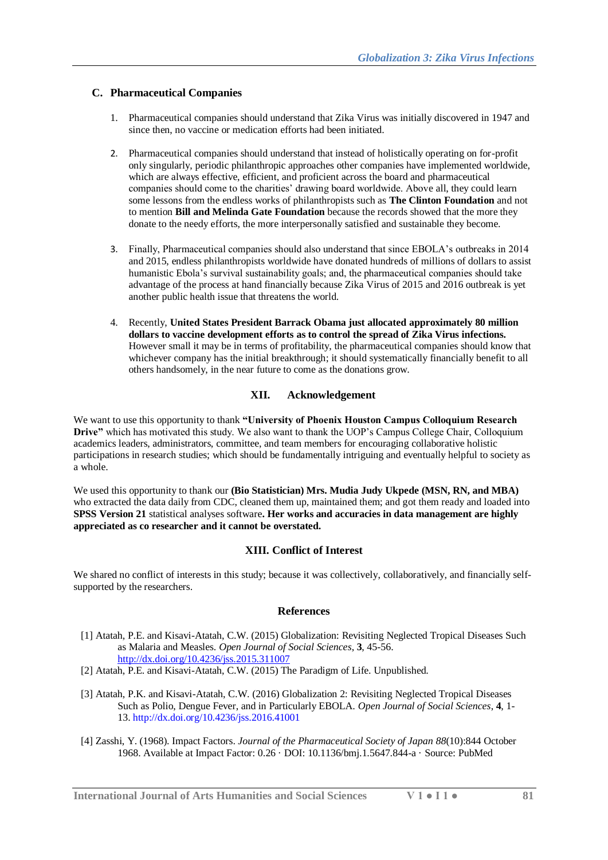# **C. Pharmaceutical Companies**

- 1. Pharmaceutical companies should understand that Zika Virus was initially discovered in 1947 and since then, no vaccine or medication efforts had been initiated.
- 2. Pharmaceutical companies should understand that instead of holistically operating on for-profit only singularly, periodic philanthropic approaches other companies have implemented worldwide, which are always effective, efficient, and proficient across the board and pharmaceutical companies should come to the charities' drawing board worldwide. Above all, they could learn some lessons from the endless works of philanthropists such as **The Clinton Foundation** and not to mention **Bill and Melinda Gate Foundation** because the records showed that the more they donate to the needy efforts, the more interpersonally satisfied and sustainable they become.
- 3. Finally, Pharmaceutical companies should also understand that since EBOLA's outbreaks in 2014 and 2015, endless philanthropists worldwide have donated hundreds of millions of dollars to assist humanistic Ebola's survival sustainability goals; and, the pharmaceutical companies should take advantage of the process at hand financially because Zika Virus of 2015 and 2016 outbreak is yet another public health issue that threatens the world.
- 4. Recently, **United States President Barrack Obama just allocated approximately 80 million dollars to vaccine development efforts as to control the spread of Zika Virus infections.** However small it may be in terms of profitability, the pharmaceutical companies should know that whichever company has the initial breakthrough; it should systematically financially benefit to all others handsomely, in the near future to come as the donations grow.

# **XII. Acknowledgement**

We want to use this opportunity to thank **"University of Phoenix Houston Campus Colloquium Research Drive"** which has motivated this study. We also want to thank the UOP's Campus College Chair, Colloquium academics leaders, administrators, committee, and team members for encouraging collaborative holistic participations in research studies; which should be fundamentally intriguing and eventually helpful to society as a whole.

We used this opportunity to thank our **(Bio Statistician) Mrs. Mudia Judy Ukpede (MSN, RN, and MBA)** who extracted the data daily from CDC, cleaned them up, maintained them; and got them ready and loaded into **SPSS Version 21** statistical analyses software**. Her works and accuracies in data management are highly appreciated as co researcher and it cannot be overstated.** 

#### **XIII. Conflict of Interest**

We shared no conflict of interests in this study; because it was collectively, collaboratively, and financially selfsupported by the researchers.

#### **References**

- [1] Atatah, P.E. and Kisavi-Atatah, C.W. (2015) Globalization: Revisiting Neglected Tropical Diseases Such as Malaria and Measles. *Open Journal of Social Sciences*, **3**, 45-56. <http://dx.doi.org/10.4236/jss.2015.311007>
- [2] Atatah, P.E. and Kisavi-Atatah, C.W. (2015) The Paradigm of Life. Unpublished.
- [3] Atatah, P.K. and Kisavi-Atatah, C.W. (2016) Globalization 2: Revisiting Neglected Tropical Diseases Such as Polio, Dengue Fever, and in Particularly EBOLA. *Open Journal of Social Sciences*, **4**, 1- 13. http://dx.doi.org/10.4236/jss.2016.41001
- [4] Zasshi, Y. (1968). Impact Factors. *[Journal of the Pharmaceutical Society of Japan](https://www.researchgate.net/journal/0031-6903_Yakugaku_zasshi_journal_of_the_Pharmaceutical_Society_of_Japan) 88*(10):844 October 1968. Available at Impact Factor: 0.26 · DOI: 10.1136/bmj.1.5647.844-a · Source[: PubMed](https://www.researchgate.net/deref/http%3A%2F%2Fwww.ncbi.nlm.nih.gov%2Fpubmed%2F5752078)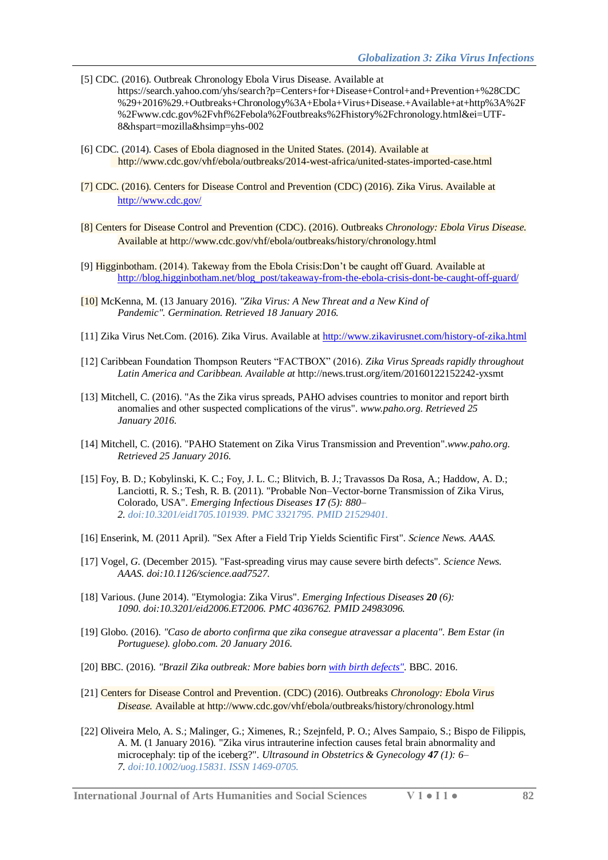- [5] CDC. (2016). Outbreak Chronology Ebola Virus Disease. Available at https://search.yahoo.com/yhs/search?p=Centers+for+Disease+Control+and+Prevention+%28CDC %29+2016%29.+Outbreaks+Chronology%3A+Ebola+Virus+Disease.+Available+at+http%3A%2F %2Fwww.cdc.gov%2Fvhf%2Febola%2Foutbreaks%2Fhistory%2Fchronology.html&ei=UTF-8&hspart=mozilla&hsimp=yhs-002
- [6] CDC. (2014). Cases of Ebola diagnosed in the United States. (2014). Available at http://www.cdc.gov/vhf/ebola/outbreaks/2014-west-africa/united-states-imported-case.html
- [7] CDC. (2016). Centers for Disease Control and Prevention (CDC) (2016). Zika Virus. Available at <http://www.cdc.gov/>
- [8] Centers for Disease Control and Prevention (CDC). (2016). Outbreaks *Chronology: Ebola Virus Disease.*  Available at http://www.cdc.gov/vhf/ebola/outbreaks/history/chronology.html
- [9] Higginbotham. (2014). Takeway from the Ebola Crisis:Don't be caught off Guard. Available at [http://blog.higginbotham.net/blog\\_post/takeaway-from-the-ebola-crisis-dont-be-caught-off-guard/](http://blog.higginbotham.net/blog_post/takeaway-from-the-ebola-crisis-dont-be-caught-off-guard/)
- [10] McKenna, M. (13 January 2016). *["Zika Virus: A New Threat and a New Kind of](http://phenomena.nationalgeographic.com/2016/01/13/zika-2)  [Pandemic".](http://phenomena.nationalgeographic.com/2016/01/13/zika-2) Germination. Retrieved 18 January 2016.*
- [11] Zika Virus Net.Com. (2016). Zika Virus. Available at<http://www.zikavirusnet.com/history-of-zika.html>
- [12] Caribbean Foundation Thompson Reuters "FACTBOX" (2016). *Zika Virus Spreads rapidly throughout Latin America and Caribbean. Available at* http://news.trust.org/item/20160122152242-yxsmt
- [13] Mitchell, C. (2016). "As the Zika virus spreads, PAHO advises countries to monitor and report birth [anomalies and other suspected complications of the virus"](http://www.paho.org/hq/index.php?option=com_content&view=article&id=11574%253A2016-as-the-zika-virus-spreads-paho-advises-countries-to-monitor-and-report-birth-anomalies-suspected-complications-of-virus&Itemid=1926&lang=en)*. www.paho.org. Retrieved 25 January 2016.*
- [14] Mitchell, C. (2016). ["PAHO Statement on Zika Virus Transmission and Prevention".](http://www.paho.org/hq/index.php?option=com_content&view=article&id=11605%253A2016-paho-statement-on-zika-transmission-prevention-&catid=8424%253Acontent&Itemid=0&lang=en)*www.paho.org. Retrieved 25 January 2016.*
- [15] Foy, B. D.; Kobylinski, K. C.; Foy, J. L. C.; Blitvich, B. J.; Travassos Da Rosa, A.; Haddow, A. D.; Lanciotti, R. S.; Tesh, R. B. (2011). ["Probable Non–Vector-borne Transmission of Zika Virus,](https://www.ncbi.nlm.nih.gov/pmc/articles/PMC3321795)  [Colorado, USA".](https://www.ncbi.nlm.nih.gov/pmc/articles/PMC3321795) *Emerging Infectious Diseases 17 (5): 880– 2. [doi](https://en.wikipedia.org/wiki/Digital_object_identifier)[:10.3201/eid1705.101939.](https://dx.doi.org/10.3201%2Feid1705.101939) [PMC](https://en.wikipedia.org/wiki/PubMed_Central) [3321795.](https://www.ncbi.nlm.nih.gov/pmc/articles/PMC3321795) [PMID](https://en.wikipedia.org/wiki/PubMed_Identifier) [21529401.](https://www.ncbi.nlm.nih.gov/pubmed/21529401)*
- [16] Enserink, M. (2011 April). ["Sex After a Field Trip Yields Scientific First".](http://www.sciencemag.org/news/2011/04/sex-after-field-trip-yields-scientific-first) *Science News. AAAS.*
- [17] Vogel, *G.* (December 2015). ["Fast-spreading virus may cause severe birth defects"](http://news.sciencemag.org/health/2015/12/fast-spreading-virus-may-cause-severe-birth-defects)*. Science News. AAAS. [doi](https://en.wikipedia.org/wiki/Digital_object_identifier)[:10.1126/science.aad7527.](https://dx.doi.org/10.1126%2Fscience.aad7527)*
- [18] Various. (June 2014). ["Etymologia: Zika Virus".](http://wwwnc.cdc.gov/eid/article/20/6/et-2006_article) *Emerging Infectious Diseases 20 (6): 1090. [doi](https://en.wikipedia.org/wiki/Digital_object_identifier)[:10.3201/eid2006.ET2006.](https://dx.doi.org/10.3201%2Feid2006.ET2006) [PMC](https://en.wikipedia.org/wiki/PubMed_Central) [4036762.](https://www.ncbi.nlm.nih.gov/pmc/articles/PMC4036762) [PMID](https://en.wikipedia.org/wiki/PubMed_Identifier) [24983096.](https://www.ncbi.nlm.nih.gov/pubmed/24983096)*
- [19] Globo. (2016). *["Caso de aborto confirma que zika consegue atravessar a placenta".](http://g1.globo.com/bemestar/noticia/2016/01/caso-de-aborto-confirma-que-zika-consegue-atravessar-placenta.html) Bem Estar (in Portuguese). globo.com. 20 January 2016.*
- [20] BBC. (2016). *["Brazil Zika outbreak: More babies born with birth defects"](http://www.bbc.com/news/world-latin-america-35368401)*. BBC. 2016.
- [21] Centers for Disease Control and Prevention. (CDC) (2016). Outbreaks *Chronology: Ebola Virus Disease.* Available at http://www.cdc.gov/vhf/ebola/outbreaks/history/chronology.html
- [22] Oliveira Melo, A. S.; Malinger, G.; Ximenes, R.; Szejnfeld, P. O.; Alves Sampaio, S.; Bispo de Filippis, A. M. (1 January 2016). ["Zika virus intrauterine infection causes fetal brain abnormality and](http://onlinelibrary.wiley.com/doi/10.1002/uog.15831/abstract)  [microcephaly: tip of the iceberg?".](http://onlinelibrary.wiley.com/doi/10.1002/uog.15831/abstract) *Ultrasound in Obstetrics & Gynecology 47 (1): 6– 7. [doi](https://en.wikipedia.org/wiki/Digital_object_identifier)[:10.1002/uog.15831.](https://dx.doi.org/10.1002%2Fuog.15831) [ISSN](https://en.wikipedia.org/wiki/International_Standard_Serial_Number) [1469-0705.](https://www.worldcat.org/issn/1469-0705)*